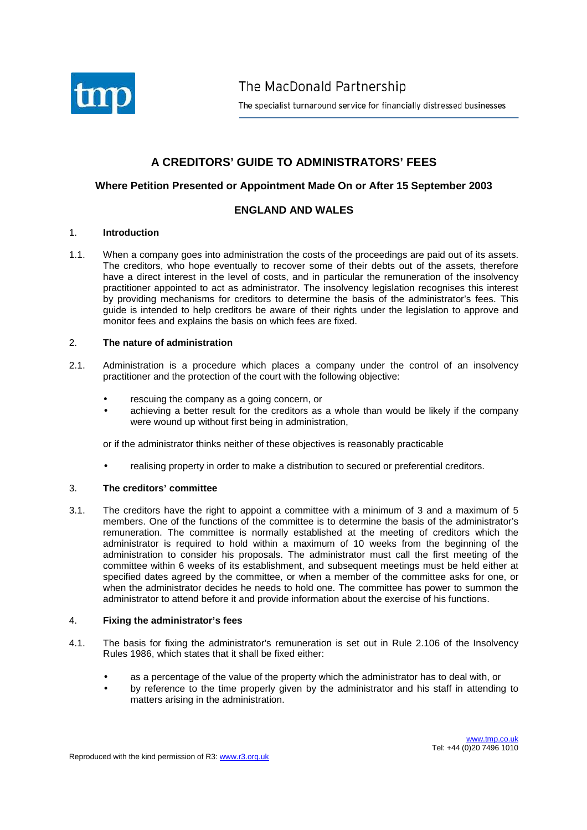

The MacDonald Partnership

The specialist turnaround service for financially distressed businesses

# **A CREDITORS' GUIDE TO ADMINISTRATORS' FEES**

# **Where Petition Presented or Appointment Made On or After 15 September 2003**

# **ENGLAND AND WALES**

### 1. **Introduction**

1.1. When a company goes into administration the costs of the proceedings are paid out of its assets. The creditors, who hope eventually to recover some of their debts out of the assets, therefore have a direct interest in the level of costs, and in particular the remuneration of the insolvency practitioner appointed to act as administrator. The insolvency legislation recognises this interest by providing mechanisms for creditors to determine the basis of the administrator's fees. This guide is intended to help creditors be aware of their rights under the legislation to approve and monitor fees and explains the basis on which fees are fixed.

#### 2. **The nature of administration**

- 2.1. Administration is a procedure which places a company under the control of an insolvency practitioner and the protection of the court with the following objective:
	- rescuing the company as a going concern, or
	- achieving a better result for the creditors as a whole than would be likely if the company were wound up without first being in administration,

or if the administrator thinks neither of these objectives is reasonably practicable

• realising property in order to make a distribution to secured or preferential creditors.

# 3. **The creditors' committee**

3.1. The creditors have the right to appoint a committee with a minimum of 3 and a maximum of 5 members. One of the functions of the committee is to determine the basis of the administrator's remuneration. The committee is normally established at the meeting of creditors which the administrator is required to hold within a maximum of 10 weeks from the beginning of the administration to consider his proposals. The administrator must call the first meeting of the committee within 6 weeks of its establishment, and subsequent meetings must be held either at specified dates agreed by the committee, or when a member of the committee asks for one, or when the administrator decides he needs to hold one. The committee has power to summon the administrator to attend before it and provide information about the exercise of his functions.

#### 4. **Fixing the administrator's fees**

- 4.1. The basis for fixing the administrator's remuneration is set out in Rule 2.106 of the Insolvency Rules 1986, which states that it shall be fixed either:
	- as a percentage of the value of the property which the administrator has to deal with, or
	- by reference to the time properly given by the administrator and his staff in attending to matters arising in the administration.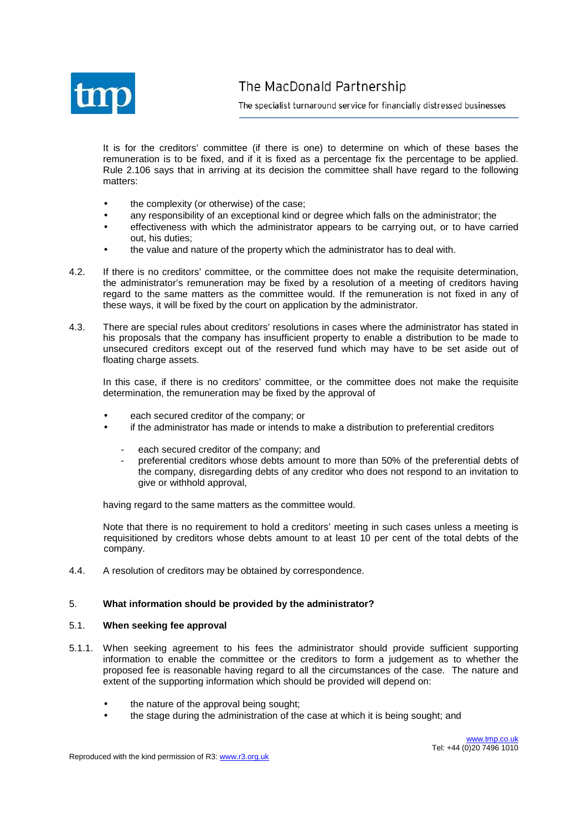

The specialist turnaround service for financially distressed businesses

It is for the creditors' committee (if there is one) to determine on which of these bases the remuneration is to be fixed, and if it is fixed as a percentage fix the percentage to be applied. Rule 2.106 says that in arriving at its decision the committee shall have regard to the following matters:

- the complexity (or otherwise) of the case;
- any responsibility of an exceptional kind or degree which falls on the administrator; the
- effectiveness with which the administrator appears to be carrying out, or to have carried out, his duties;
- the value and nature of the property which the administrator has to deal with.
- 4.2. If there is no creditors' committee, or the committee does not make the requisite determination, the administrator's remuneration may be fixed by a resolution of a meeting of creditors having regard to the same matters as the committee would. If the remuneration is not fixed in any of these ways, it will be fixed by the court on application by the administrator.
- 4.3. There are special rules about creditors' resolutions in cases where the administrator has stated in his proposals that the company has insufficient property to enable a distribution to be made to unsecured creditors except out of the reserved fund which may have to be set aside out of floating charge assets.

In this case, if there is no creditors' committee, or the committee does not make the requisite determination, the remuneration may be fixed by the approval of

- each secured creditor of the company; or
- if the administrator has made or intends to make a distribution to preferential creditors
	- each secured creditor of the company; and
	- preferential creditors whose debts amount to more than 50% of the preferential debts of the company, disregarding debts of any creditor who does not respond to an invitation to give or withhold approval,

having regard to the same matters as the committee would.

Note that there is no requirement to hold a creditors' meeting in such cases unless a meeting is requisitioned by creditors whose debts amount to at least 10 per cent of the total debts of the company.

4.4. A resolution of creditors may be obtained by correspondence.

#### 5. **What information should be provided by the administrator?**

#### 5.1. **When seeking fee approval**

- 5.1.1. When seeking agreement to his fees the administrator should provide sufficient supporting information to enable the committee or the creditors to form a judgement as to whether the proposed fee is reasonable having regard to all the circumstances of the case. The nature and extent of the supporting information which should be provided will depend on:
	- the nature of the approval being sought;
	- the stage during the administration of the case at which it is being sought; and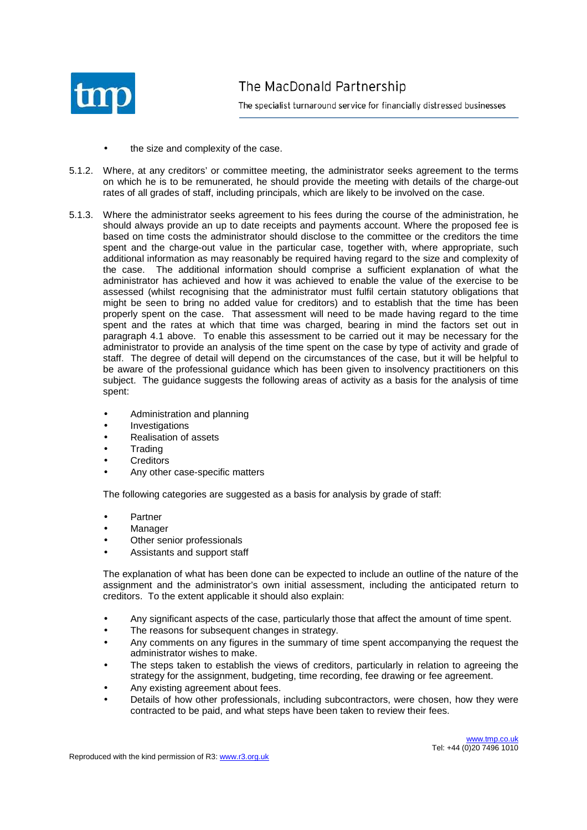

- the size and complexity of the case.
- 5.1.2. Where, at any creditors' or committee meeting, the administrator seeks agreement to the terms on which he is to be remunerated, he should provide the meeting with details of the charge-out rates of all grades of staff, including principals, which are likely to be involved on the case.
- 5.1.3. Where the administrator seeks agreement to his fees during the course of the administration, he should always provide an up to date receipts and payments account. Where the proposed fee is based on time costs the administrator should disclose to the committee or the creditors the time spent and the charge-out value in the particular case, together with, where appropriate, such additional information as may reasonably be required having regard to the size and complexity of the case. The additional information should comprise a sufficient explanation of what the administrator has achieved and how it was achieved to enable the value of the exercise to be assessed (whilst recognising that the administrator must fulfil certain statutory obligations that might be seen to bring no added value for creditors) and to establish that the time has been properly spent on the case. That assessment will need to be made having regard to the time spent and the rates at which that time was charged, bearing in mind the factors set out in paragraph 4.1 above. To enable this assessment to be carried out it may be necessary for the administrator to provide an analysis of the time spent on the case by type of activity and grade of staff. The degree of detail will depend on the circumstances of the case, but it will be helpful to be aware of the professional guidance which has been given to insolvency practitioners on this subject. The guidance suggests the following areas of activity as a basis for the analysis of time spent:
	- Administration and planning
	- **Investigations**
	- Realisation of assets
	- **Trading**
	- **Creditors**
	- Any other case-specific matters

The following categories are suggested as a basis for analysis by grade of staff:

- Partner
- **Manager**
- Other senior professionals
- Assistants and support staff

The explanation of what has been done can be expected to include an outline of the nature of the assignment and the administrator's own initial assessment, including the anticipated return to creditors. To the extent applicable it should also explain:

- Any significant aspects of the case, particularly those that affect the amount of time spent.
- The reasons for subsequent changes in strategy.
- Any comments on any figures in the summary of time spent accompanying the request the administrator wishes to make.
- The steps taken to establish the views of creditors, particularly in relation to agreeing the strategy for the assignment, budgeting, time recording, fee drawing or fee agreement.
- Any existing agreement about fees.
- Details of how other professionals, including subcontractors, were chosen, how they were contracted to be paid, and what steps have been taken to review their fees.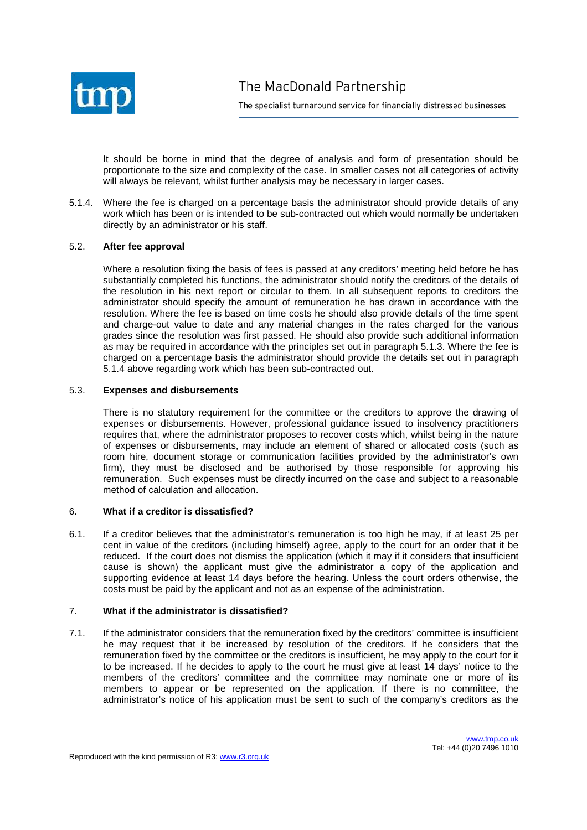

The specialist turnaround service for financially distressed businesses

It should be borne in mind that the degree of analysis and form of presentation should be proportionate to the size and complexity of the case. In smaller cases not all categories of activity will always be relevant, whilst further analysis may be necessary in larger cases.

5.1.4. Where the fee is charged on a percentage basis the administrator should provide details of any work which has been or is intended to be sub-contracted out which would normally be undertaken directly by an administrator or his staff.

### 5.2. **After fee approval**

Where a resolution fixing the basis of fees is passed at any creditors' meeting held before he has substantially completed his functions, the administrator should notify the creditors of the details of the resolution in his next report or circular to them. In all subsequent reports to creditors the administrator should specify the amount of remuneration he has drawn in accordance with the resolution. Where the fee is based on time costs he should also provide details of the time spent and charge-out value to date and any material changes in the rates charged for the various grades since the resolution was first passed. He should also provide such additional information as may be required in accordance with the principles set out in paragraph 5.1.3. Where the fee is charged on a percentage basis the administrator should provide the details set out in paragraph 5.1.4 above regarding work which has been sub-contracted out.

#### 5.3. **Expenses and disbursements**

There is no statutory requirement for the committee or the creditors to approve the drawing of expenses or disbursements. However, professional guidance issued to insolvency practitioners requires that, where the administrator proposes to recover costs which, whilst being in the nature of expenses or disbursements, may include an element of shared or allocated costs (such as room hire, document storage or communication facilities provided by the administrator's own firm), they must be disclosed and be authorised by those responsible for approving his remuneration. Such expenses must be directly incurred on the case and subject to a reasonable method of calculation and allocation.

# 6. **What if a creditor is dissatisfied?**

6.1. If a creditor believes that the administrator's remuneration is too high he may, if at least 25 per cent in value of the creditors (including himself) agree, apply to the court for an order that it be reduced. If the court does not dismiss the application (which it may if it considers that insufficient cause is shown) the applicant must give the administrator a copy of the application and supporting evidence at least 14 days before the hearing. Unless the court orders otherwise, the costs must be paid by the applicant and not as an expense of the administration.

#### 7. **What if the administrator is dissatisfied?**

7.1. If the administrator considers that the remuneration fixed by the creditors' committee is insufficient he may request that it be increased by resolution of the creditors. If he considers that the remuneration fixed by the committee or the creditors is insufficient, he may apply to the court for it to be increased. If he decides to apply to the court he must give at least 14 days' notice to the members of the creditors' committee and the committee may nominate one or more of its members to appear or be represented on the application. If there is no committee, the administrator's notice of his application must be sent to such of the company's creditors as the